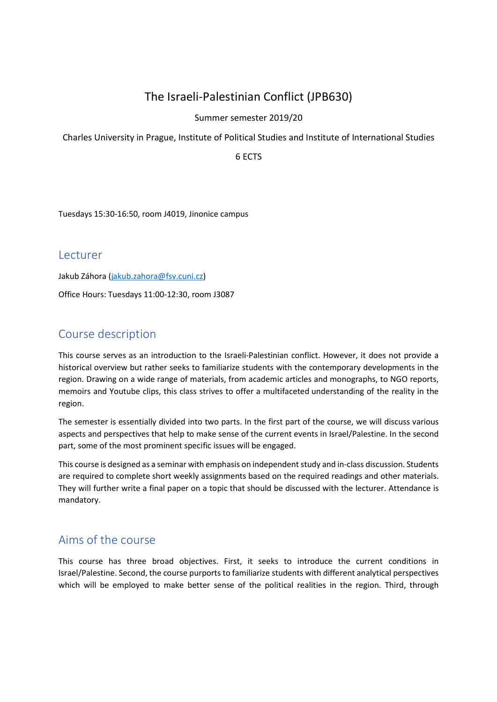# The Israeli-Palestinian Conflict (JPB630)

## Summer semester 2019/20

Charles University in Prague, Institute of Political Studies and Institute of International Studies

6 ECTS

Tuesdays 15:30-16:50, room J4019, Jinonice campus

**Lecturer** 

Jakub Záhora (jakub.zahora@fsv.cuni.cz) Office Hours: Tuesdays 11:00-12:30, room J3087

# Course description

This course serves as an introduction to the Israeli-Palestinian conflict. However, it does not provide a historical overview but rather seeks to familiarize students with the contemporary developments in the region. Drawing on a wide range of materials, from academic articles and monographs, to NGO reports, memoirs and Youtube clips, this class strives to offer a multifaceted understanding of the reality in the region.

The semester is essentially divided into two parts. In the first part of the course, we will discuss various aspects and perspectives that help to make sense of the current events in Israel/Palestine. In the second part, some of the most prominent specific issues will be engaged.

This course is designed as a seminar with emphasis on independent study and in-class discussion. Students are required to complete short weekly assignments based on the required readings and other materials. They will further write a final paper on a topic that should be discussed with the lecturer. Attendance is mandatory.

# Aims of the course

This course has three broad objectives. First, it seeks to introduce the current conditions in Israel/Palestine. Second, the course purports to familiarize students with different analytical perspectives which will be employed to make better sense of the political realities in the region. Third, through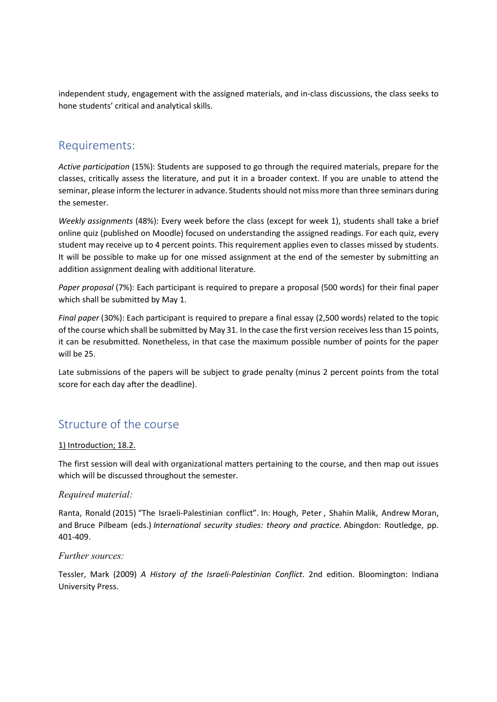independent study, engagement with the assigned materials, and in-class discussions, the class seeks to hone students' critical and analytical skills.

## Requirements:

Active participation (15%): Students are supposed to go through the required materials, prepare for the classes, critically assess the literature, and put it in a broader context. If you are unable to attend the seminar, please inform the lecturer in advance. Students should not miss more than three seminars during the semester.

Weekly assignments (48%): Every week before the class (except for week 1), students shall take a brief online quiz (published on Moodle) focused on understanding the assigned readings. For each quiz, every student may receive up to 4 percent points. This requirement applies even to classes missed by students. It will be possible to make up for one missed assignment at the end of the semester by submitting an addition assignment dealing with additional literature.

Paper proposal (7%): Each participant is required to prepare a proposal (500 words) for their final paper which shall be submitted by May 1.

Final paper (30%): Each participant is required to prepare a final essay (2,500 words) related to the topic of the course which shall be submitted by May 31. In the case the first version receives less than 15 points, it can be resubmitted. Nonetheless, in that case the maximum possible number of points for the paper will be 25.

Late submissions of the papers will be subject to grade penalty (minus 2 percent points from the total score for each day after the deadline).

## Structure of the course

#### 1) Introduction; 18.2.

The first session will deal with organizational matters pertaining to the course, and then map out issues which will be discussed throughout the semester.

## Required material:

Ranta, Ronald (2015) "The Israeli-Palestinian conflict". In: Hough, Peter , Shahin Malik, Andrew Moran, and Bruce Pilbeam (eds.) International security studies: theory and practice. Abingdon: Routledge, pp. 401-409.

#### Further sources:

Tessler, Mark (2009) A History of the Israeli-Palestinian Conflict. 2nd edition. Bloomington: Indiana University Press.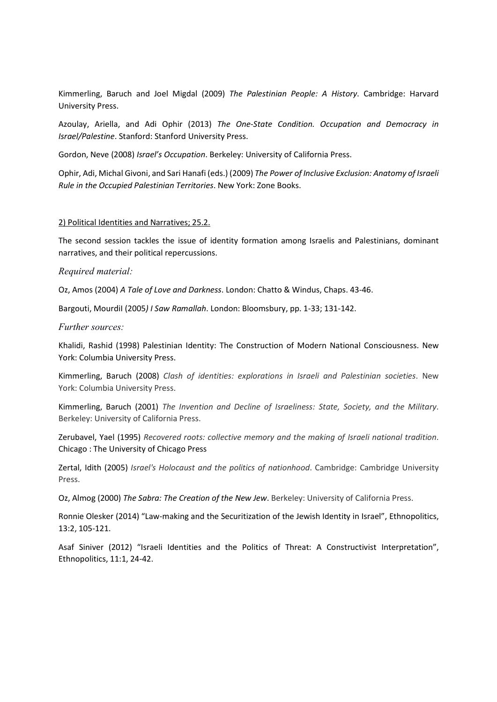Kimmerling, Baruch and Joel Migdal (2009) The Palestinian People: A History. Cambridge: Harvard University Press.

Azoulay, Ariella, and Adi Ophir (2013) The One-State Condition. Occupation and Democracy in Israel/Palestine. Stanford: Stanford University Press.

Gordon, Neve (2008) Israel's Occupation. Berkeley: University of California Press.

Ophir, Adi, Michal Givoni, and Sari Hanafi (eds.) (2009) The Power of Inclusive Exclusion: Anatomy of Israeli Rule in the Occupied Palestinian Territories. New York: Zone Books.

#### 2) Political Identities and Narratives; 25.2.

The second session tackles the issue of identity formation among Israelis and Palestinians, dominant narratives, and their political repercussions.

#### Required material:

Oz, Amos (2004) A Tale of Love and Darkness. London: Chatto & Windus, Chaps. 43-46.

Bargouti, Mourdil (2005) I Saw Ramallah. London: Bloomsbury, pp. 1-33; 131-142.

#### Further sources:

Khalidi, Rashid (1998) Palestinian Identity: The Construction of Modern National Consciousness. New York: Columbia University Press.

Kimmerling, Baruch (2008) Clash of identities: explorations in Israeli and Palestinian societies. New York: Columbia University Press.

Kimmerling, Baruch (2001) The Invention and Decline of Israeliness: State, Society, and the Military. Berkeley: University of California Press.

Zerubavel, Yael (1995) Recovered roots: collective memory and the making of Israeli national tradition. Chicago : The University of Chicago Press

Zertal, Idith (2005) Israel's Holocaust and the politics of nationhood. Cambridge: Cambridge University Press.

Oz, Almog (2000) The Sabra: The Creation of the New Jew. Berkeley: University of California Press.

Ronnie Olesker (2014) "Law-making and the Securitization of the Jewish Identity in Israel", Ethnopolitics, 13:2, 105-121.

Asaf Siniver (2012) "Israeli Identities and the Politics of Threat: A Constructivist Interpretation", Ethnopolitics, 11:1, 24-42.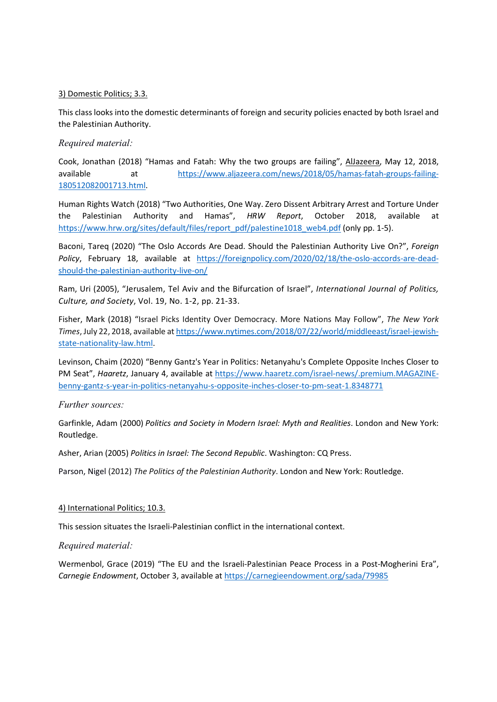#### 3) Domestic Politics; 3.3.

This class looks into the domestic determinants of foreign and security policies enacted by both Israel and the Palestinian Authority.

#### Required material:

Cook, Jonathan (2018) "Hamas and Fatah: Why the two groups are failing", AlJazeera, May 12, 2018, available at https://www.aljazeera.com/news/2018/05/hamas-fatah-groups-failing-180512082001713.html.

Human Rights Watch (2018) "Two Authorities, One Way. Zero Dissent Arbitrary Arrest and Torture Under the Palestinian Authority and Hamas", HRW Report, October 2018, available at https://www.hrw.org/sites/default/files/report\_pdf/palestine1018\_web4.pdf (only pp. 1-5).

Baconi, Tareq (2020) "The Oslo Accords Are Dead. Should the Palestinian Authority Live On?", Foreign Policy, February 18, available at https://foreignpolicy.com/2020/02/18/the-oslo-accords-are-deadshould-the-palestinian-authority-live-on/

Ram, Uri (2005), "Jerusalem, Tel Aviv and the Bifurcation of Israel", International Journal of Politics, Culture, and Society, Vol. 19, No. 1-2, pp. 21-33.

Fisher, Mark (2018) "Israel Picks Identity Over Democracy. More Nations May Follow", The New York Times, July 22, 2018, available at https://www.nytimes.com/2018/07/22/world/middleeast/israel-jewishstate-nationality-law.html.

Levinson, Chaim (2020) "Benny Gantz's Year in Politics: Netanyahu's Complete Opposite Inches Closer to PM Seat", Haaretz, January 4, available at https://www.haaretz.com/israel-news/.premium.MAGAZINEbenny-gantz-s-year-in-politics-netanyahu-s-opposite-inches-closer-to-pm-seat-1.8348771

#### Further sources:

Garfinkle, Adam (2000) Politics and Society in Modern Israel: Myth and Realities. London and New York: Routledge.

Asher, Arian (2005) Politics in Israel: The Second Republic. Washington: CQ Press.

Parson, Nigel (2012) The Politics of the Palestinian Authority. London and New York: Routledge.

#### 4) International Politics; 10.3.

This session situates the Israeli-Palestinian conflict in the international context.

#### Required material:

Wermenbol, Grace (2019) "The EU and the Israeli-Palestinian Peace Process in a Post-Mogherini Era", Carnegie Endowment, October 3, available at https://carnegieendowment.org/sada/79985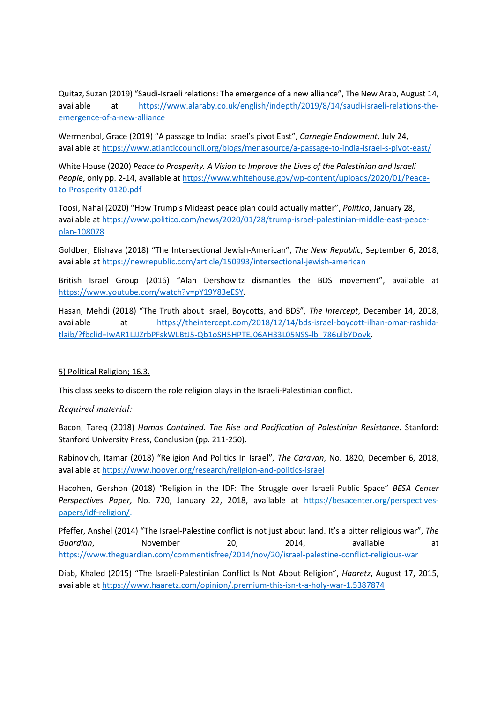Quitaz, Suzan (2019) "Saudi-Israeli relations: The emergence of a new alliance", The New Arab, August 14, available at https://www.alaraby.co.uk/english/indepth/2019/8/14/saudi-israeli-relations-theemergence-of-a-new-alliance

Wermenbol, Grace (2019) "A passage to India: Israel's pivot East", Carnegie Endowment, July 24, available at https://www.atlanticcouncil.org/blogs/menasource/a-passage-to-india-israel-s-pivot-east/

White House (2020) Peace to Prosperity. A Vision to Improve the Lives of the Palestinian and Israeli People, only pp. 2-14, available at https://www.whitehouse.gov/wp-content/uploads/2020/01/Peaceto-Prosperity-0120.pdf

Toosi, Nahal (2020) "How Trump's Mideast peace plan could actually matter", Politico, January 28, available at https://www.politico.com/news/2020/01/28/trump-israel-palestinian-middle-east-peaceplan-108078

Goldber, Elishava (2018) "The Intersectional Jewish-American", The New Republic, September 6, 2018, available at https://newrepublic.com/article/150993/intersectional-jewish-american

British Israel Group (2016) "Alan Dershowitz dismantles the BDS movement", available at https://www.youtube.com/watch?v=pY19Y83eESY.

Hasan, Mehdi (2018) "The Truth about Israel, Boycotts, and BDS", The Intercept, December 14, 2018, available at https://theintercept.com/2018/12/14/bds-israel-boycott-ilhan-omar-rashidatlaib/?fbclid=IwAR1LJJZrbPFskWLBtJ5-Qb1oSH5HPTEJ06AH33L05NSS-lb\_786ulbYDovk.

#### 5) Political Religion; 16.3.

This class seeks to discern the role religion plays in the Israeli-Palestinian conflict.

#### Required material:

Bacon, Tareq (2018) Hamas Contained. The Rise and Pacification of Palestinian Resistance. Stanford: Stanford University Press, Conclusion (pp. 211-250).

Rabinovich, Itamar (2018) "Religion And Politics In Israel", The Caravan, No. 1820, December 6, 2018, available at https://www.hoover.org/research/religion-and-politics-israel

Hacohen, Gershon (2018) "Religion in the IDF: The Struggle over Israeli Public Space" BESA Center Perspectives Paper, No. 720, January 22, 2018, available at https://besacenter.org/perspectivespapers/idf-religion/.

Pfeffer, Anshel (2014) "The Israel-Palestine conflict is not just about land. It's a bitter religious war", The Guardian, Movember 20, 2014, available at https://www.theguardian.com/commentisfree/2014/nov/20/israel-palestine-conflict-religious-war

Diab, Khaled (2015) "The Israeli-Palestinian Conflict Is Not About Religion", Haaretz, August 17, 2015, available at https://www.haaretz.com/opinion/.premium-this-isn-t-a-holy-war-1.5387874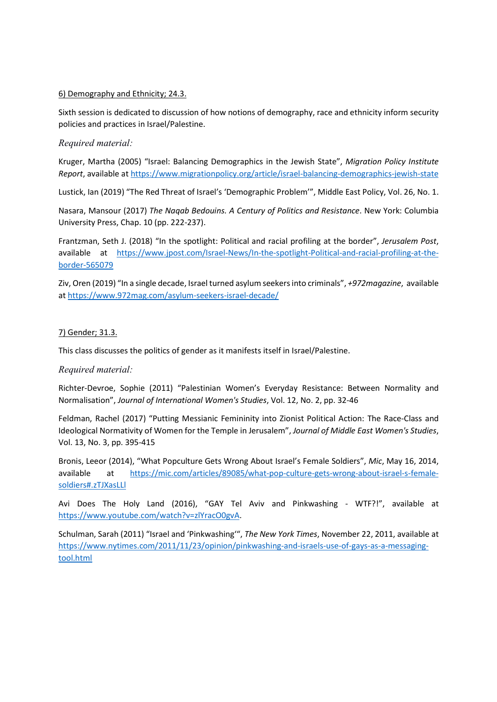#### 6) Demography and Ethnicity; 24.3.

Sixth session is dedicated to discussion of how notions of demography, race and ethnicity inform security policies and practices in Israel/Palestine.

#### Required material:

Kruger, Martha (2005) "Israel: Balancing Demographics in the Jewish State", Migration Policy Institute Report, available at https://www.migrationpolicy.org/article/israel-balancing-demographics-jewish-state

Lustick, Ian (2019) "The Red Threat of Israel's 'Demographic Problem'", Middle East Policy, Vol. 26, No. 1.

Nasara, Mansour (2017) The Naqab Bedouins. A Century of Politics and Resistance. New York: Columbia University Press, Chap. 10 (pp. 222-237).

Frantzman, Seth J. (2018) "In the spotlight: Political and racial profiling at the border", Jerusalem Post, available at https://www.jpost.com/Israel-News/In-the-spotlight-Political-and-racial-profiling-at-theborder-565079

Ziv, Oren (2019) "In a single decade, Israel turned asylum seekers into criminals", +972magazine, available at https://www.972mag.com/asylum-seekers-israel-decade/

#### 7) Gender; 31.3.

This class discusses the politics of gender as it manifests itself in Israel/Palestine.

## Required material:

Richter-Devroe, Sophie (2011) "Palestinian Women's Everyday Resistance: Between Normality and Normalisation", Journal of International Women's Studies, Vol. 12, No. 2, pp. 32-46

Feldman, Rachel (2017) "Putting Messianic Femininity into Zionist Political Action: The Race-Class and Ideological Normativity of Women for the Temple in Jerusalem", Journal of Middle East Women's Studies, Vol. 13, No. 3, pp. 395-415

Bronis, Leeor (2014), "What Popculture Gets Wrong About Israel's Female Soldiers", Mic, May 16, 2014, available at https://mic.com/articles/89085/what-pop-culture-gets-wrong-about-israel-s-femalesoldiers#.zTJXasLLl

Avi Does The Holy Land (2016), "GAY Tel Aviv and Pinkwashing - WTF?!", available at https://www.youtube.com/watch?v=zlYracO0gvA.

Schulman, Sarah (2011) "Israel and 'Pinkwashing'", The New York Times, November 22, 2011, available at https://www.nytimes.com/2011/11/23/opinion/pinkwashing-and-israels-use-of-gays-as-a-messagingtool.html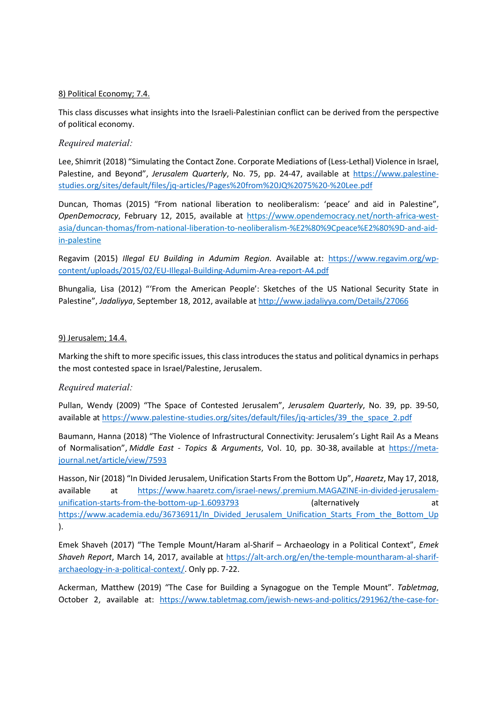#### 8) Political Economy; 7.4.

This class discusses what insights into the Israeli-Palestinian conflict can be derived from the perspective of political economy.

## Required material:

Lee, Shimrit (2018) "Simulating the Contact Zone. Corporate Mediations of (Less-Lethal) Violence in Israel, Palestine, and Beyond", Jerusalem Quarterly, No. 75, pp. 24-47, available at https://www.palestinestudies.org/sites/default/files/jq-articles/Pages%20from%20JQ%2075%20-%20Lee.pdf

Duncan, Thomas (2015) "From national liberation to neoliberalism: 'peace' and aid in Palestine", OpenDemocracy, February 12, 2015, available at https://www.opendemocracy.net/north-africa-westasia/duncan-thomas/from-national-liberation-to-neoliberalism-%E2%80%9Cpeace%E2%80%9D-and-aidin-palestine

Regavim (2015) Illegal EU Building in Adumim Region. Available at: https://www.regavim.org/wpcontent/uploads/2015/02/EU-Illegal-Building-Adumim-Area-report-A4.pdf

Bhungalia, Lisa (2012) "'From the American People': Sketches of the US National Security State in Palestine", Jadaliyya, September 18, 2012, available at http://www.jadaliyya.com/Details/27066

#### 9) Jerusalem; 14.4.

Marking the shift to more specific issues, this class introduces the status and political dynamics in perhaps the most contested space in Israel/Palestine, Jerusalem.

## Required material:

Pullan, Wendy (2009) "The Space of Contested Jerusalem", Jerusalem Quarterly, No. 39, pp. 39-50, available at https://www.palestine-studies.org/sites/default/files/jq-articles/39\_the\_space\_2.pdf

Baumann, Hanna (2018) "The Violence of Infrastructural Connectivity: Jerusalem's Light Rail As a Means of Normalisation", Middle East - Topics & Arguments, Vol. 10, pp. 30-38, available at https://metajournal.net/article/view/7593

Hasson, Nir (2018) "In Divided Jerusalem, Unification Starts From the Bottom Up", Haaretz, May 17, 2018, available at https://www.haaretz.com/israel-news/.premium.MAGAZINE-in-divided-jerusalemunification-starts-from-the-bottom-up-1.6093793 (alternatively at https://www.academia.edu/36736911/In Divided Jerusalem Unification Starts From the Bottom Up ).

Emek Shaveh (2017) "The Temple Mount/Haram al-Sharif – Archaeology in a Political Context", Emek Shaveh Report, March 14, 2017, available at https://alt-arch.org/en/the-temple-mountharam-al-sharifarchaeology-in-a-political-context/. Only pp. 7-22.

Ackerman, Matthew (2019) "The Case for Building a Synagogue on the Temple Mount". Tabletmag, October 2, available at: https://www.tabletmag.com/jewish-news-and-politics/291962/the-case-for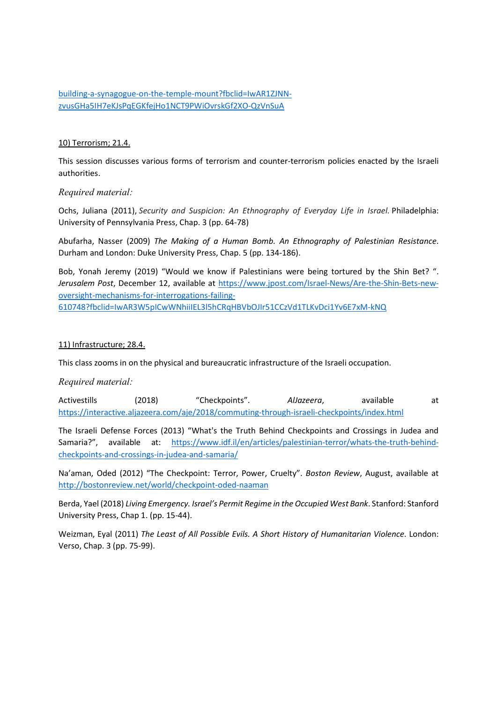building-a-synagogue-on-the-temple-mount?fbclid=IwAR1ZJNNzvusGHa5IH7eKJsPqEGKfejHo1NCT9PWiOvrskGf2XO-QzVnSuA

#### 10) Terrorism; 21.4.

This session discusses various forms of terrorism and counter-terrorism policies enacted by the Israeli authorities.

#### Required material:

Ochs, Juliana (2011), Security and Suspicion: An Ethnography of Everyday Life in Israel. Philadelphia: University of Pennsylvania Press, Chap. 3 (pp. 64-78)

Abufarha, Nasser (2009) The Making of a Human Bomb. An Ethnography of Palestinian Resistance. Durham and London: Duke University Press, Chap. 5 (pp. 134-186).

Bob, Yonah Jeremy (2019) "Would we know if Palestinians were being tortured by the Shin Bet? ". Jerusalem Post, December 12, available at https://www.jpost.com/Israel-News/Are-the-Shin-Bets-newoversight-mechanisms-for-interrogations-failing-610748?fbclid=IwAR3W5pICwWNhiiIEL3l5hCRqHBVbOJIr51CCzVd1TLKvDci1Yv6E7xM-kNQ

#### 11) Infrastructure; 28.4.

This class zooms in on the physical and bureaucratic infrastructure of the Israeli occupation.

## Required material:

Activestills (2018) "Checkpoints". AlJazeera, available at https://interactive.aljazeera.com/aje/2018/commuting-through-israeli-checkpoints/index.html

The Israeli Defense Forces (2013) "What's the Truth Behind Checkpoints and Crossings in Judea and Samaria?", available at: https://www.idf.il/en/articles/palestinian-terror/whats-the-truth-behindcheckpoints-and-crossings-in-judea-and-samaria/

Na'aman, Oded (2012) "The Checkpoint: Terror, Power, Cruelty". Boston Review, August, available at http://bostonreview.net/world/checkpoint-oded-naaman

Berda, Yael (2018) Living Emergency. Israel's Permit Regime in the Occupied West Bank. Stanford: Stanford University Press, Chap 1. (pp. 15-44).

Weizman, Eyal (2011) The Least of All Possible Evils. A Short History of Humanitarian Violence. London: Verso, Chap. 3 (pp. 75-99).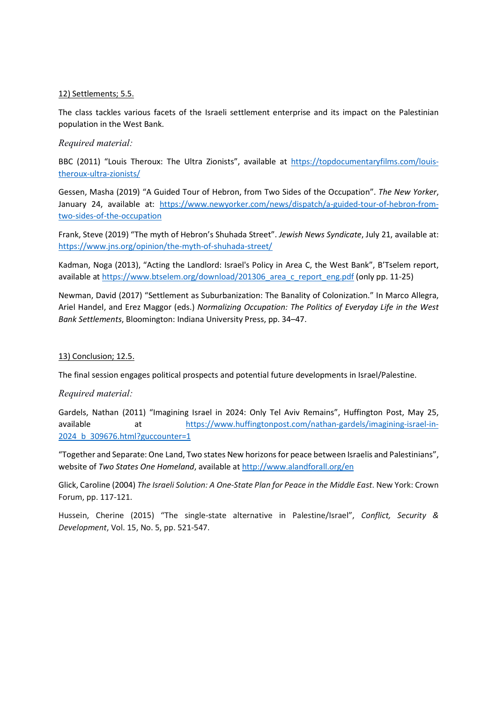#### 12) Settlements; 5.5.

The class tackles various facets of the Israeli settlement enterprise and its impact on the Palestinian population in the West Bank.

#### Required material:

BBC (2011) "Louis Theroux: The Ultra Zionists", available at https://topdocumentaryfilms.com/louistheroux-ultra-zionists/

Gessen, Masha (2019) "A Guided Tour of Hebron, from Two Sides of the Occupation". The New Yorker, January 24, available at: https://www.newyorker.com/news/dispatch/a-guided-tour-of-hebron-fromtwo-sides-of-the-occupation

Frank, Steve (2019) "The myth of Hebron's Shuhada Street". Jewish News Syndicate, July 21, available at: https://www.jns.org/opinion/the-myth-of-shuhada-street/

Kadman, Noga (2013), "Acting the Landlord: Israel's Policy in Area C, the West Bank", B'Tselem report, available at https://www.btselem.org/download/201306\_area\_c\_report\_eng.pdf (only pp. 11-25)

Newman, David (2017) "Settlement as Suburbanization: The Banality of Colonization." In Marco Allegra, Ariel Handel, and Erez Maggor (eds.) Normalizing Occupation: The Politics of Everyday Life in the West Bank Settlements, Bloomington: Indiana University Press, pp. 34–47.

#### 13) Conclusion; 12.5.

The final session engages political prospects and potential future developments in Israel/Palestine.

#### Required material:

Gardels, Nathan (2011) "Imagining Israel in 2024: Only Tel Aviv Remains", Huffington Post, May 25, available at https://www.huffingtonpost.com/nathan-gardels/imagining-israel-in-2024 b 309676.html?guccounter=1

"Together and Separate: One Land, Two states New horizons for peace between Israelis and Palestinians", website of Two States One Homeland, available at http://www.alandforall.org/en

Glick, Caroline (2004) The Israeli Solution: A One-State Plan for Peace in the Middle East. New York: Crown Forum, pp. 117-121.

Hussein, Cherine (2015) "The single-state alternative in Palestine/Israel", Conflict, Security & Development, Vol. 15, No. 5, pp. 521-547.